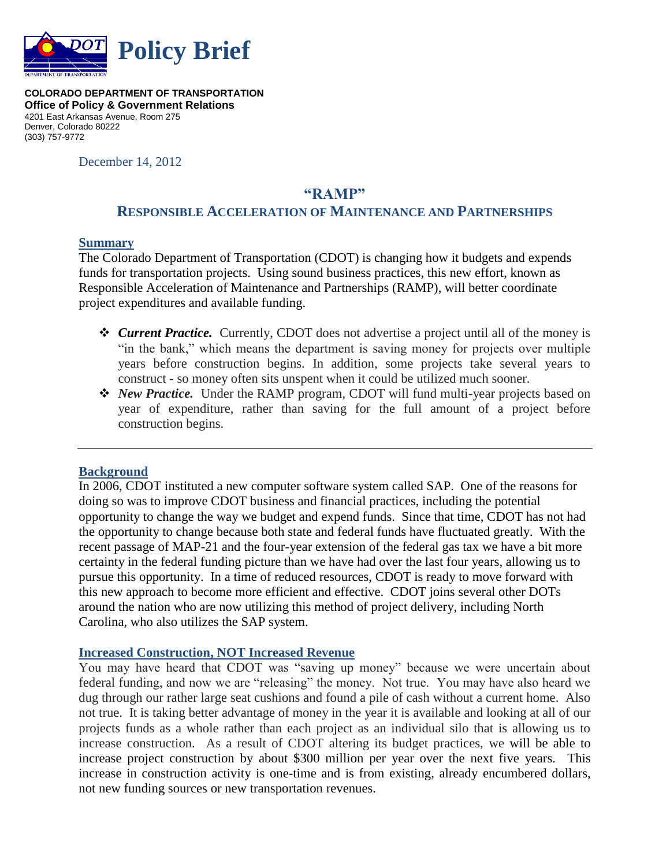

**COLORADO DEPARTMENT OF TRANSPORTATION Office of Policy & Government Relations** 4201 East Arkansas Avenue, Room 275 Denver, Colorado 80222 (303) 757-9772

December 14, 2012

# **"RAMP"**

#### **RESPONSIBLE ACCELERATION OF MAINTENANCE AND PARTNERSHIPS**

#### **Summary**

The Colorado Department of Transportation (CDOT) is changing how it budgets and expends funds for transportation projects. Using sound business practices, this new effort, known as Responsible Acceleration of Maintenance and Partnerships (RAMP), will better coordinate project expenditures and available funding.

- *Current Practice.* Currently, CDOT does not advertise a project until all of the money is "in the bank," which means the department is saving money for projects over multiple years before construction begins. In addition, some projects take several years to construct - so money often sits unspent when it could be utilized much sooner.
- *New Practice.* Under the RAMP program, CDOT will fund multi-year projects based on year of expenditure, rather than saving for the full amount of a project before construction begins.

#### **Background**

In 2006, CDOT instituted a new computer software system called SAP. One of the reasons for doing so was to improve CDOT business and financial practices, including the potential opportunity to change the way we budget and expend funds. Since that time, CDOT has not had the opportunity to change because both state and federal funds have fluctuated greatly. With the recent passage of MAP-21 and the four-year extension of the federal gas tax we have a bit more certainty in the federal funding picture than we have had over the last four years, allowing us to pursue this opportunity. In a time of reduced resources, CDOT is ready to move forward with this new approach to become more efficient and effective. CDOT joins several other DOTs around the nation who are now utilizing this method of project delivery, including North Carolina, who also utilizes the SAP system.

#### **Increased Construction, NOT Increased Revenue**

You may have heard that CDOT was "saving up money" because we were uncertain about federal funding, and now we are "releasing" the money. Not true. You may have also heard we dug through our rather large seat cushions and found a pile of cash without a current home. Also not true. It is taking better advantage of money in the year it is available and looking at all of our projects funds as a whole rather than each project as an individual silo that is allowing us to increase construction. As a result of CDOT altering its budget practices, we will be able to increase project construction by about \$300 million per year over the next five years. This increase in construction activity is one-time and is from existing, already encumbered dollars, not new funding sources or new transportation revenues.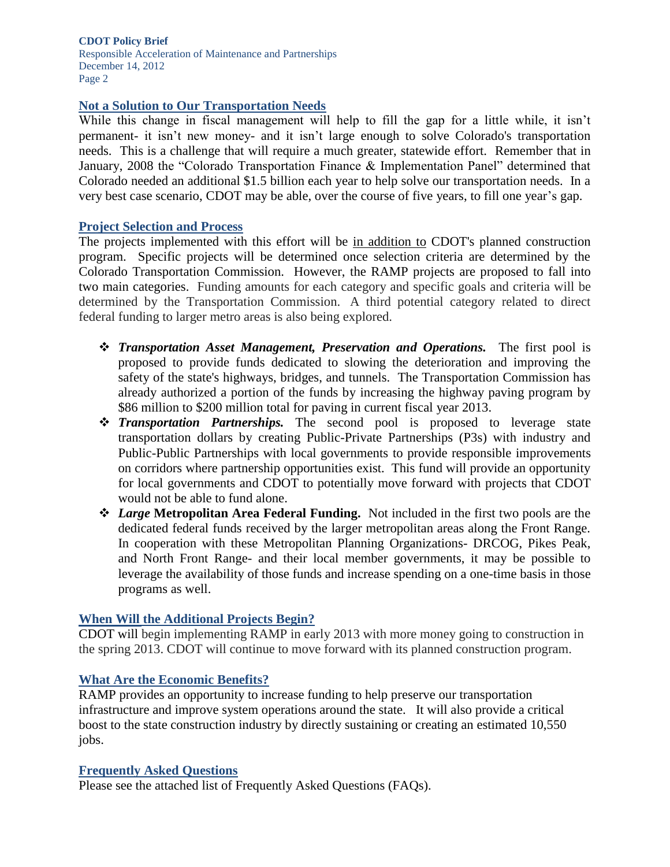#### **CDOT Policy Brief**

Responsible Acceleration of Maintenance and Partnerships December 14, 2012 Page 2

#### **Not a Solution to Our Transportation Needs**

While this change in fiscal management will help to fill the gap for a little while, it isn't permanent- it isn't new money- and it isn't large enough to solve Colorado's transportation needs. This is a challenge that will require a much greater, statewide effort. Remember that in January, 2008 the "Colorado Transportation Finance & Implementation Panel" determined that Colorado needed an additional \$1.5 billion each year to help solve our transportation needs. In a very best case scenario, CDOT may be able, over the course of five years, to fill one year's gap.

#### **Project Selection and Process**

The projects implemented with this effort will be in addition to CDOT's planned construction program. Specific projects will be determined once selection criteria are determined by the Colorado Transportation Commission. However, the RAMP projects are proposed to fall into two main categories. Funding amounts for each category and specific goals and criteria will be determined by the Transportation Commission. A third potential category related to direct federal funding to larger metro areas is also being explored.

- *Transportation Asset Management, Preservation and Operations.* The first pool is proposed to provide funds dedicated to slowing the deterioration and improving the safety of the state's highways, bridges, and tunnels. The Transportation Commission has already authorized a portion of the funds by increasing the highway paving program by \$86 million to \$200 million total for paving in current fiscal year 2013.
- *Transportation Partnerships.* The second pool is proposed to leverage state transportation dollars by creating Public-Private Partnerships (P3s) with industry and Public-Public Partnerships with local governments to provide responsible improvements on corridors where partnership opportunities exist. This fund will provide an opportunity for local governments and CDOT to potentially move forward with projects that CDOT would not be able to fund alone.
- *Large* **Metropolitan Area Federal Funding.** Not included in the first two pools are the dedicated federal funds received by the larger metropolitan areas along the Front Range. In cooperation with these Metropolitan Planning Organizations- DRCOG, Pikes Peak, and North Front Range- and their local member governments, it may be possible to leverage the availability of those funds and increase spending on a one-time basis in those programs as well.

#### **When Will the Additional Projects Begin?**

CDOT will begin implementing RAMP in early 2013 with more money going to construction in the spring 2013. CDOT will continue to move forward with its planned construction program.

#### **What Are the Economic Benefits?**

RAMP provides an opportunity to increase funding to help preserve our transportation infrastructure and improve system operations around the state. It will also provide a critical boost to the state construction industry by directly sustaining or creating an estimated 10,550 jobs.

#### **Frequently Asked Questions**

Please see the attached list of Frequently Asked Questions (FAQs).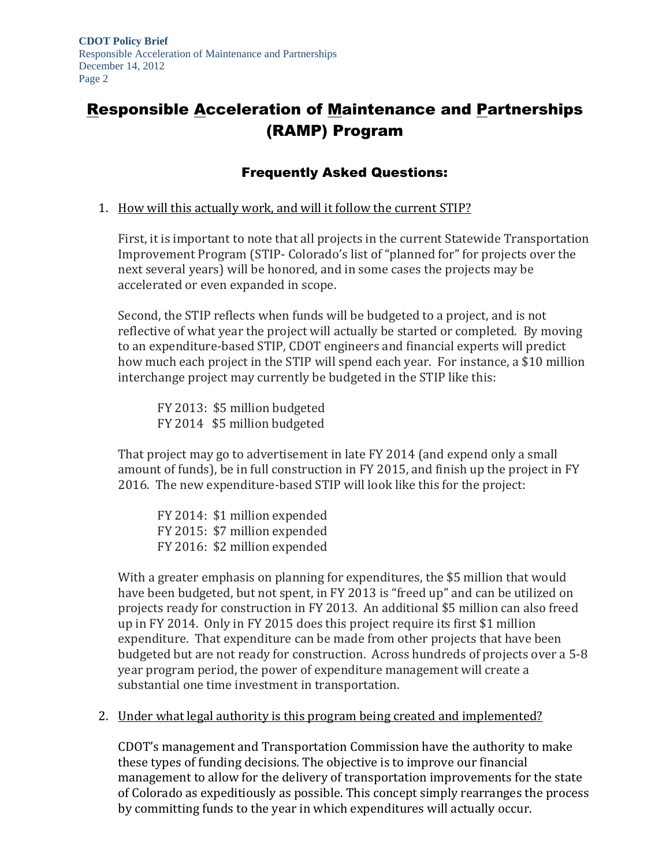# Responsible Acceleration of Maintenance and Partnerships (RAMP) Program

# Frequently Asked Questions:

#### 1. How will this actually work, and will it follow the current STIP?

First, it is important to note that all projects in the current Statewide Transportation Improvement Program (STIP- Colorado's list of "planned for" for projects over the next several years) will be honored, and in some cases the projects may be accelerated or even expanded in scope.

Second, the STIP reflects when funds will be budgeted to a project, and is not reflective of what year the project will actually be started or completed. By moving to an expenditure-based STIP, CDOT engineers and financial experts will predict how much each project in the STIP will spend each year. For instance, a \$10 million interchange project may currently be budgeted in the STIP like this:

FY 2013: \$5 million budgeted FY 2014 \$5 million budgeted

That project may go to advertisement in late FY 2014 (and expend only a small amount of funds), be in full construction in FY 2015, and finish up the project in FY 2016. The new expenditure-based STIP will look like this for the project:

FY 2014: \$1 million expended FY 2015: \$7 million expended FY 2016: \$2 million expended

With a greater emphasis on planning for expenditures, the \$5 million that would have been budgeted, but not spent, in FY 2013 is "freed up" and can be utilized on projects ready for construction in FY 2013. An additional \$5 million can also freed up in FY 2014. Only in FY 2015 does this project require its first \$1 million expenditure. That expenditure can be made from other projects that have been budgeted but are not ready for construction. Across hundreds of projects over a 5-8 year program period, the power of expenditure management will create a substantial one time investment in transportation.

#### 2. Under what legal authority is this program being created and implemented?

CDOT's management and Transportation Commission have the authority to make these types of funding decisions. The objective is to improve our financial management to allow for the delivery of transportation improvements for the state of Colorado as expeditiously as possible. This concept simply rearranges the process by committing funds to the year in which expenditures will actually occur.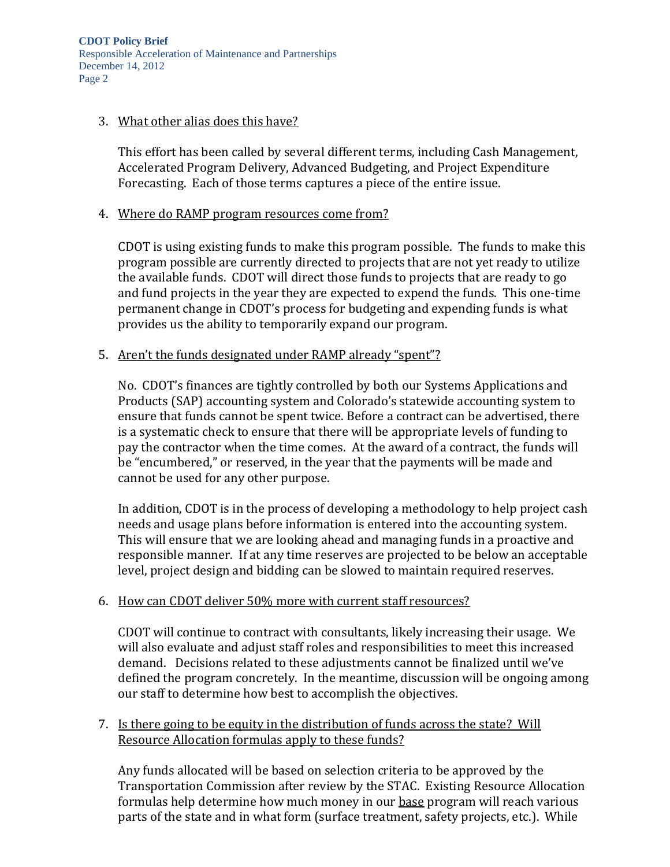**CDOT Policy Brief** Responsible Acceleration of Maintenance and Partnerships December 14, 2012 Page 2

#### 3. What other alias does this have?

This effort has been called by several different terms, including Cash Management, Accelerated Program Delivery, Advanced Budgeting, and Project Expenditure Forecasting. Each of those terms captures a piece of the entire issue.

#### 4. Where do RAMP program resources come from?

CDOT is using existing funds to make this program possible. The funds to make this program possible are currently directed to projects that are not yet ready to utilize the available funds. CDOT will direct those funds to projects that are ready to go and fund projects in the year they are expected to expend the funds. This one-time permanent change in CDOT's process for budgeting and expending funds is what provides us the ability to temporarily expand our program.

#### 5. Aren't the funds designated under RAMP already "spent"?

No. CDOT's finances are tightly controlled by both our Systems Applications and Products (SAP) accounting system and Colorado's statewide accounting system to ensure that funds cannot be spent twice. Before a contract can be advertised, there is a systematic check to ensure that there will be appropriate levels of funding to pay the contractor when the time comes. At the award of a contract, the funds will be "encumbered," or reserved, in the year that the payments will be made and cannot be used for any other purpose.

In addition, CDOT is in the process of developing a methodology to help project cash needs and usage plans before information is entered into the accounting system. This will ensure that we are looking ahead and managing funds in a proactive and responsible manner. If at any time reserves are projected to be below an acceptable level, project design and bidding can be slowed to maintain required reserves.

#### 6. How can CDOT deliver 50% more with current staff resources?

CDOT will continue to contract with consultants, likely increasing their usage. We will also evaluate and adjust staff roles and responsibilities to meet this increased demand. Decisions related to these adjustments cannot be finalized until we've defined the program concretely. In the meantime, discussion will be ongoing among our staff to determine how best to accomplish the objectives.

#### 7. Is there going to be equity in the distribution of funds across the state? Will Resource Allocation formulas apply to these funds?

Any funds allocated will be based on selection criteria to be approved by the Transportation Commission after review by the STAC. Existing Resource Allocation formulas help determine how much money in our base program will reach various parts of the state and in what form (surface treatment, safety projects, etc.). While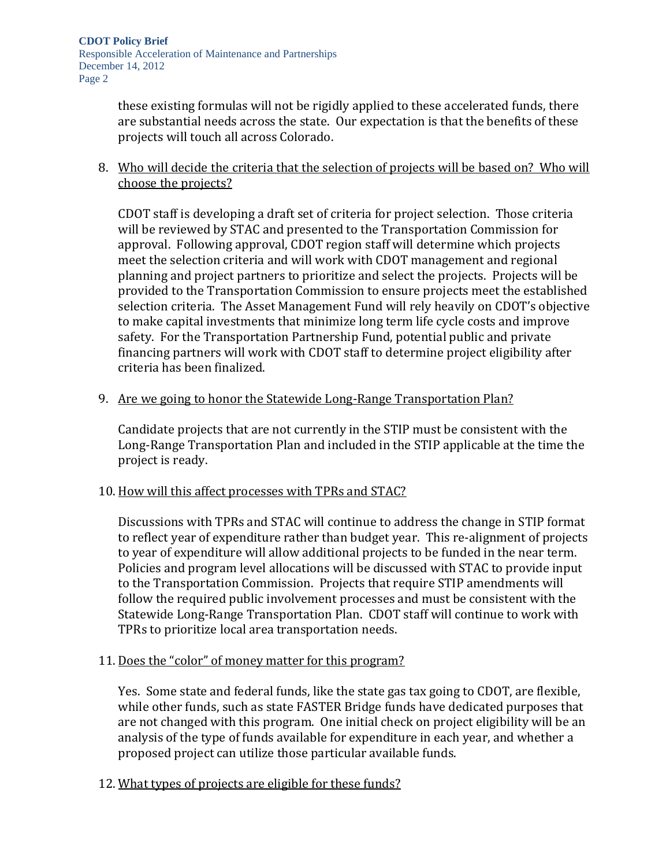these existing formulas will not be rigidly applied to these accelerated funds, there are substantial needs across the state. Our expectation is that the benefits of these projects will touch all across Colorado.

8. Who will decide the criteria that the selection of projects will be based on? Who will choose the projects?

CDOT staff is developing a draft set of criteria for project selection. Those criteria will be reviewed by STAC and presented to the Transportation Commission for approval. Following approval, CDOT region staff will determine which projects meet the selection criteria and will work with CDOT management and regional planning and project partners to prioritize and select the projects. Projects will be provided to the Transportation Commission to ensure projects meet the established selection criteria. The Asset Management Fund will rely heavily on CDOT's objective to make capital investments that minimize long term life cycle costs and improve safety. For the Transportation Partnership Fund, potential public and private financing partners will work with CDOT staff to determine project eligibility after criteria has been finalized.

9. Are we going to honor the Statewide Long-Range Transportation Plan?

Candidate projects that are not currently in the STIP must be consistent with the Long-Range Transportation Plan and included in the STIP applicable at the time the project is ready.

10. How will this affect processes with TPRs and STAC?

Discussions with TPRs and STAC will continue to address the change in STIP format to reflect year of expenditure rather than budget year. This re-alignment of projects to year of expenditure will allow additional projects to be funded in the near term. Policies and program level allocations will be discussed with STAC to provide input to the Transportation Commission. Projects that require STIP amendments will follow the required public involvement processes and must be consistent with the Statewide Long-Range Transportation Plan. CDOT staff will continue to work with TPRs to prioritize local area transportation needs.

11. Does the "color" of money matter for this program?

Yes. Some state and federal funds, like the state gas tax going to CDOT, are flexible, while other funds, such as state FASTER Bridge funds have dedicated purposes that are not changed with this program. One initial check on project eligibility will be an analysis of the type of funds available for expenditure in each year, and whether a proposed project can utilize those particular available funds.

12. What types of projects are eligible for these funds?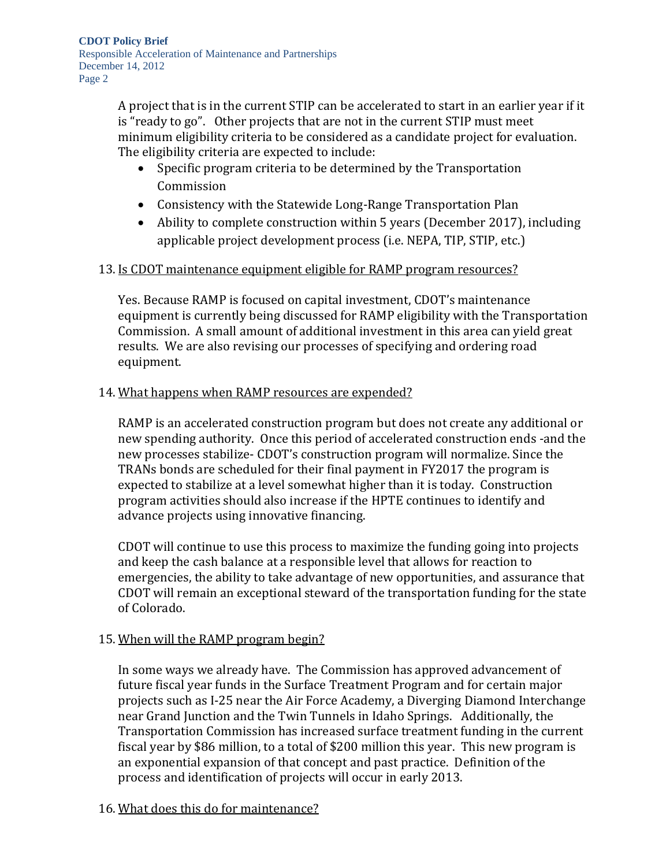A project that is in the current STIP can be accelerated to start in an earlier year if it is "ready to go". Other projects that are not in the current STIP must meet minimum eligibility criteria to be considered as a candidate project for evaluation. The eligibility criteria are expected to include:

- Specific program criteria to be determined by the Transportation Commission
- Consistency with the Statewide Long-Range Transportation Plan
- Ability to complete construction within 5 years (December 2017), including applicable project development process (i.e. NEPA, TIP, STIP, etc.)

# 13. Is CDOT maintenance equipment eligible for RAMP program resources?

Yes. Because RAMP is focused on capital investment, CDOT's maintenance equipment is currently being discussed for RAMP eligibility with the Transportation Commission. A small amount of additional investment in this area can yield great results. We are also revising our processes of specifying and ordering road equipment.

# 14. What happens when RAMP resources are expended?

RAMP is an accelerated construction program but does not create any additional or new spending authority. Once this period of accelerated construction ends -and the new processes stabilize- CDOT's construction program will normalize. Since the TRANs bonds are scheduled for their final payment in FY2017 the program is expected to stabilize at a level somewhat higher than it is today. Construction program activities should also increase if the HPTE continues to identify and advance projects using innovative financing.

CDOT will continue to use this process to maximize the funding going into projects and keep the cash balance at a responsible level that allows for reaction to emergencies, the ability to take advantage of new opportunities, and assurance that CDOT will remain an exceptional steward of the transportation funding for the state of Colorado.

# 15. When will the RAMP program begin?

In some ways we already have. The Commission has approved advancement of future fiscal year funds in the Surface Treatment Program and for certain major projects such as I-25 near the Air Force Academy, a Diverging Diamond Interchange near Grand Junction and the Twin Tunnels in Idaho Springs. Additionally, the Transportation Commission has increased surface treatment funding in the current fiscal year by \$86 million, to a total of \$200 million this year. This new program is an exponential expansion of that concept and past practice. Definition of the process and identification of projects will occur in early 2013.

# 16. What does this do for maintenance?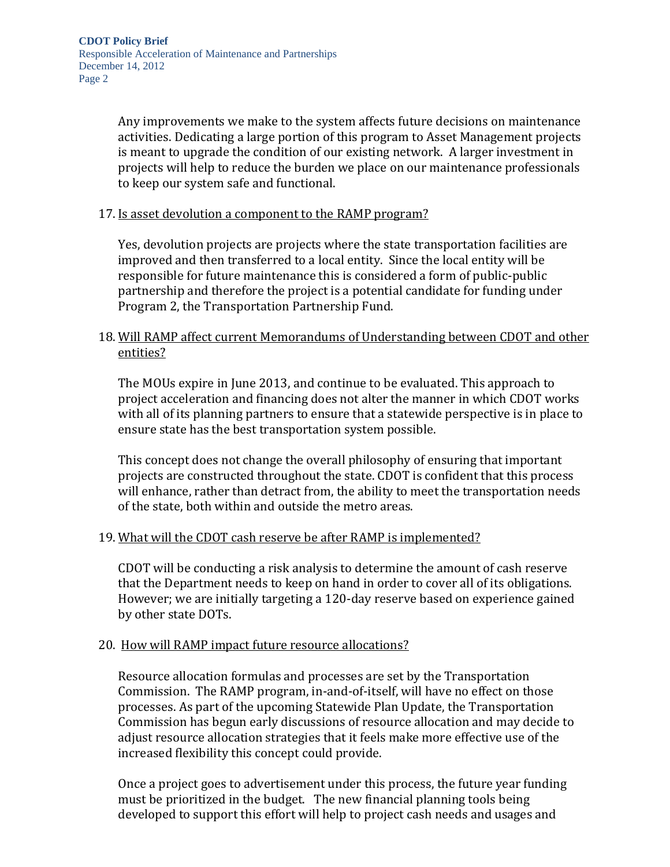Any improvements we make to the system affects future decisions on maintenance activities. Dedicating a large portion of this program to Asset Management projects is meant to upgrade the condition of our existing network. A larger investment in projects will help to reduce the burden we place on our maintenance professionals to keep our system safe and functional.

#### 17. Is asset devolution a component to the RAMP program?

Yes, devolution projects are projects where the state transportation facilities are improved and then transferred to a local entity. Since the local entity will be responsible for future maintenance this is considered a form of public-public partnership and therefore the project is a potential candidate for funding under Program 2, the Transportation Partnership Fund.

## 18. Will RAMP affect current Memorandums of Understanding between CDOT and other entities?

The MOUs expire in June 2013, and continue to be evaluated. This approach to project acceleration and financing does not alter the manner in which CDOT works with all of its planning partners to ensure that a statewide perspective is in place to ensure state has the best transportation system possible.

This concept does not change the overall philosophy of ensuring that important projects are constructed throughout the state. CDOT is confident that this process will enhance, rather than detract from, the ability to meet the transportation needs of the state, both within and outside the metro areas.

#### 19. What will the CDOT cash reserve be after RAMP is implemented?

CDOT will be conducting a risk analysis to determine the amount of cash reserve that the Department needs to keep on hand in order to cover all of its obligations. However; we are initially targeting a 120-day reserve based on experience gained by other state DOTs.

### 20. How will RAMP impact future resource allocations?

Resource allocation formulas and processes are set by the Transportation Commission. The RAMP program, in-and-of-itself, will have no effect on those processes. As part of the upcoming Statewide Plan Update, the Transportation Commission has begun early discussions of resource allocation and may decide to adjust resource allocation strategies that it feels make more effective use of the increased flexibility this concept could provide.

Once a project goes to advertisement under this process, the future year funding must be prioritized in the budget. The new financial planning tools being developed to support this effort will help to project cash needs and usages and